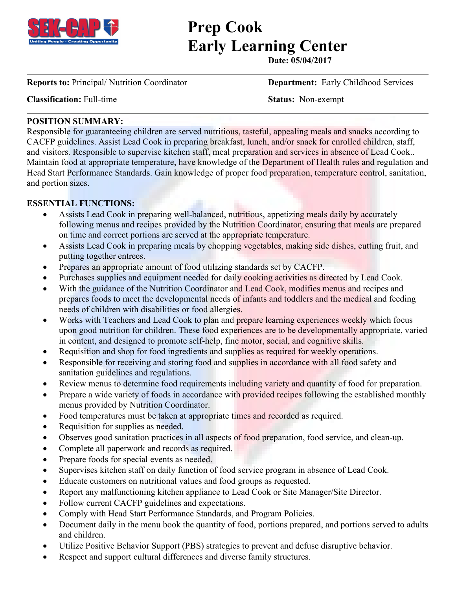

# **Prep Cook Early Learning Center**

**Date: 05/04/2017**

**Reports to:** Principal/ Nutrition Coordinator **Department:** Early Childhood Services

**Classification:** Full-time **Status:** Non-exempt

## **POSITION SUMMARY:**

Responsible for guaranteeing children are served nutritious, tasteful, appealing meals and snacks according to CACFP guidelines. Assist Lead Cook in preparing breakfast, lunch, and/or snack for enrolled children, staff, and visitors. Responsible to supervise kitchen staff, meal preparation and services in absence of Lead Cook.. Maintain food at appropriate temperature, have knowledge of the Department of Health rules and regulation and Head Start Performance Standards. Gain knowledge of proper food preparation, temperature control, sanitation, and portion sizes.

#### **ESSENTIAL FUNCTIONS:**

- Assists Lead Cook in preparing well-balanced, nutritious, appetizing meals daily by accurately following menus and recipes provided by the Nutrition Coordinator, ensuring that meals are prepared on time and correct portions are served at the appropriate temperature.
- Assists Lead Cook in preparing meals by chopping vegetables, making side dishes, cutting fruit, and putting together entrees.
- Prepares an appropriate amount of food utilizing standards set by CACFP.
- Purchases supplies and equipment needed for daily cooking activities as directed by Lead Cook.
- With the guidance of the Nutrition Coordinator and Lead Cook, modifies menus and recipes and prepares foods to meet the developmental needs of infants and toddlers and the medical and feeding needs of children with disabilities or food allergies.
- Works with Teachers and Lead Cook to plan and prepare learning experiences weekly which focus upon good nutrition for children. These food experiences are to be developmentally appropriate, varied in content, and designed to promote self-help, fine motor, social, and cognitive skills.
- Requisition and shop for food ingredients and supplies as required for weekly operations.
- Responsible for receiving and storing food and supplies in accordance with all food safety and sanitation guidelines and regulations.
- Review menus to determine food requirements including variety and quantity of food for preparation.
- Prepare a wide variety of foods in accordance with provided recipes following the established monthly menus provided by Nutrition Coordinator.
- Food temperatures must be taken at appropriate times and recorded as required.
- Requisition for supplies as needed.
- Observes good sanitation practices in all aspects of food preparation, food service, and clean-up.
- Complete all paperwork and records as required.
- Prepare foods for special events as needed.
- Supervises kitchen staff on daily function of food service program in absence of Lead Cook.
- Educate customers on nutritional values and food groups as requested.
- Report any malfunctioning kitchen appliance to Lead Cook or Site Manager/Site Director.
- Follow current CACFP guidelines and expectations.
- Comply with Head Start Performance Standards, and Program Policies.
- Document daily in the menu book the quantity of food, portions prepared, and portions served to adults and children.
- Utilize Positive Behavior Support (PBS) strategies to prevent and defuse disruptive behavior.
- Respect and support cultural differences and diverse family structures.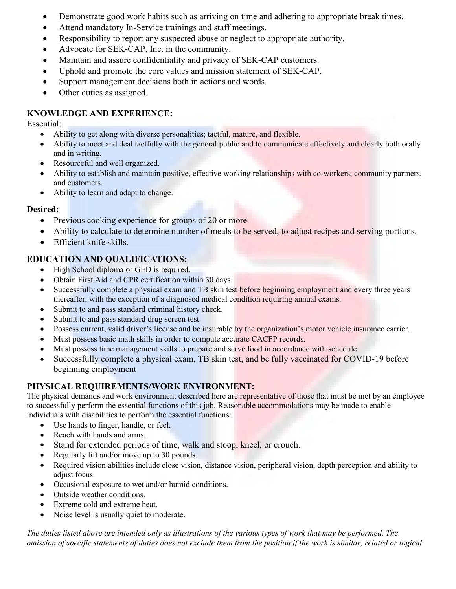- Demonstrate good work habits such as arriving on time and adhering to appropriate break times.
- Attend mandatory In-Service trainings and staff meetings.
- Responsibility to report any suspected abuse or neglect to appropriate authority.
- Advocate for SEK-CAP, Inc. in the community.
- Maintain and assure confidentiality and privacy of SEK-CAP customers.
- Uphold and promote the core values and mission statement of SEK-CAP.
- Support management decisions both in actions and words.
- Other duties as assigned.

# **KNOWLEDGE AND EXPERIENCE:**

Essential:

- Ability to get along with diverse personalities; tactful, mature, and flexible.
- Ability to meet and deal tactfully with the general public and to communicate effectively and clearly both orally and in writing.
- Resourceful and well organized.
- Ability to establish and maintain positive, effective working relationships with co-workers, community partners, and customers.
- Ability to learn and adapt to change.

## **Desired:**

- Previous cooking experience for groups of 20 or more.
- Ability to calculate to determine number of meals to be served, to adjust recipes and serving portions.
- Efficient knife skills.

# **EDUCATION AND QUALIFICATIONS:**

- High School diploma or GED is required.
- Obtain First Aid and CPR certification within 30 days.
- Successfully complete a physical exam and TB skin test before beginning employment and every three years thereafter, with the exception of a diagnosed medical condition requiring annual exams.
- Submit to and pass standard criminal history check.
- Submit to and pass standard drug screen test.
- Possess current, valid driver's license and be insurable by the organization's motor vehicle insurance carrier.
- Must possess basic math skills in order to compute accurate CACFP records.
- Must possess time management skills to prepare and serve food in accordance with schedule.
- Successfully complete a physical exam, TB skin test, and be fully vaccinated for COVID-19 before beginning employment

# **PHYSICAL REQUIREMENTS/WORK ENVIRONMENT:**

The physical demands and work environment described here are representative of those that must be met by an employee to successfully perform the essential functions of this job. Reasonable accommodations may be made to enable individuals with disabilities to perform the essential functions:

- Use hands to finger, handle, or feel.
- Reach with hands and arms.
- Stand for extended periods of time, walk and stoop, kneel, or crouch.
- Regularly lift and/or move up to 30 pounds.
- Required vision abilities include close vision, distance vision, peripheral vision, depth perception and ability to adjust focus.
- Occasional exposure to wet and/or humid conditions.
- Outside weather conditions.
- Extreme cold and extreme heat.
- Noise level is usually quiet to moderate.

*The duties listed above are intended only as illustrations of the various types of work that may be performed. The omission of specific statements of duties does not exclude them from the position if the work is similar, related or logical*